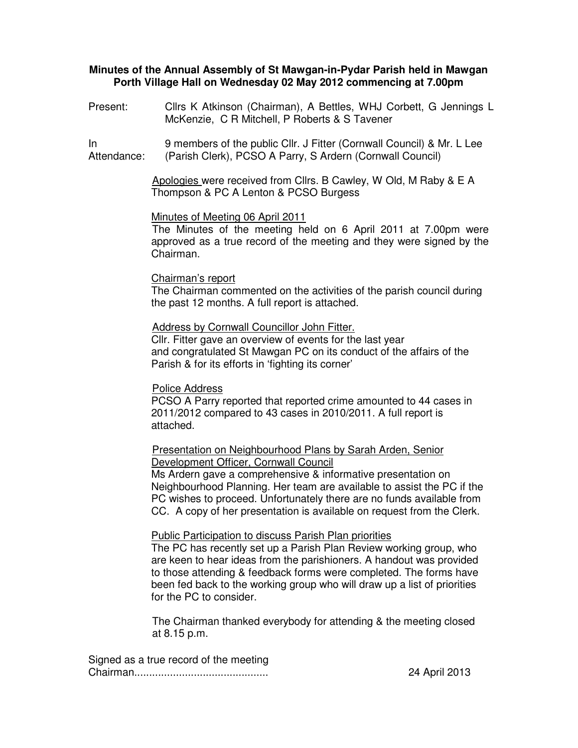## **Minutes of the Annual Assembly of St Mawgan-in-Pydar Parish held in Mawgan Porth Village Hall on Wednesday 02 May 2012 commencing at 7.00pm**

Present: Cllrs K Atkinson (Chairman), A Bettles, WHJ Corbett, G Jennings L McKenzie, C R Mitchell, P Roberts & S Tavener

In Attendance: 9 members of the public Cllr. J Fitter (Cornwall Council) & Mr. L Lee (Parish Clerk), PCSO A Parry, S Ardern (Cornwall Council)

> Apologies were received from Cllrs. B Cawley, W Old, M Raby & E A Thompson & PC A Lenton & PCSO Burgess

#### Minutes of Meeting 06 April 2011

The Minutes of the meeting held on 6 April 2011 at 7.00pm were approved as a true record of the meeting and they were signed by the Chairman.

#### Chairman's report

The Chairman commented on the activities of the parish council during the past 12 months. A full report is attached.

## Address by Cornwall Councillor John Fitter. Cllr. Fitter gave an overview of events for the last year and congratulated St Mawgan PC on its conduct of the affairs of the Parish & for its efforts in 'fighting its corner'

#### Police Address

PCSO A Parry reported that reported crime amounted to 44 cases in 2011/2012 compared to 43 cases in 2010/2011. A full report is attached.

## Presentation on Neighbourhood Plans by Sarah Arden, Senior Development Officer, Cornwall Council

Ms Ardern gave a comprehensive & informative presentation on Neighbourhood Planning. Her team are available to assist the PC if the PC wishes to proceed. Unfortunately there are no funds available from CC. A copy of her presentation is available on request from the Clerk.

#### Public Participation to discuss Parish Plan priorities

The PC has recently set up a Parish Plan Review working group, who are keen to hear ideas from the parishioners. A handout was provided to those attending & feedback forms were completed. The forms have been fed back to the working group who will draw up a list of priorities for the PC to consider.

The Chairman thanked everybody for attending & the meeting closed at 8.15 p.m.

Signed as a true record of the meeting Chairman............................................. 24 April 2013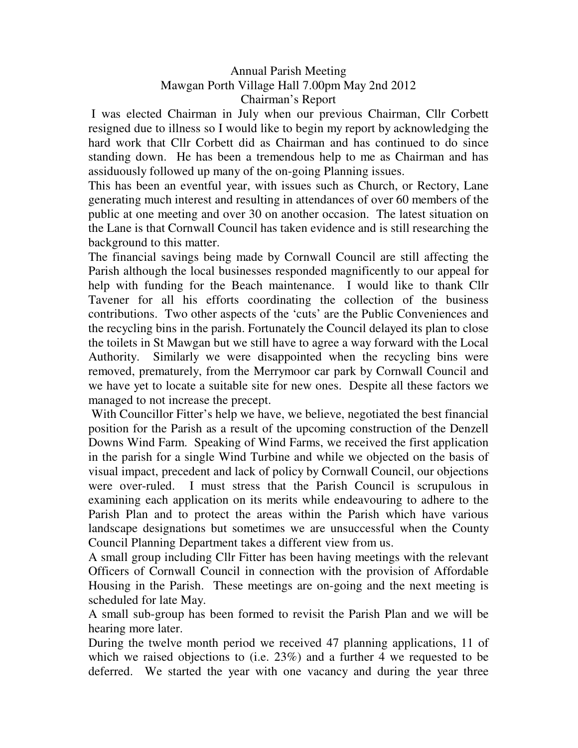# Annual Parish Meeting Mawgan Porth Village Hall 7.00pm May 2nd 2012 Chairman's Report

 I was elected Chairman in July when our previous Chairman, Cllr Corbett resigned due to illness so I would like to begin my report by acknowledging the hard work that Cllr Corbett did as Chairman and has continued to do since standing down. He has been a tremendous help to me as Chairman and has assiduously followed up many of the on-going Planning issues.

This has been an eventful year, with issues such as Church, or Rectory, Lane generating much interest and resulting in attendances of over 60 members of the public at one meeting and over 30 on another occasion. The latest situation on the Lane is that Cornwall Council has taken evidence and is still researching the background to this matter.

The financial savings being made by Cornwall Council are still affecting the Parish although the local businesses responded magnificently to our appeal for help with funding for the Beach maintenance. I would like to thank Cllr Tavener for all his efforts coordinating the collection of the business contributions. Two other aspects of the 'cuts' are the Public Conveniences and the recycling bins in the parish. Fortunately the Council delayed its plan to close the toilets in St Mawgan but we still have to agree a way forward with the Local Authority. Similarly we were disappointed when the recycling bins were removed, prematurely, from the Merrymoor car park by Cornwall Council and we have yet to locate a suitable site for new ones. Despite all these factors we managed to not increase the precept.

 With Councillor Fitter's help we have, we believe, negotiated the best financial position for the Parish as a result of the upcoming construction of the Denzell Downs Wind Farm. Speaking of Wind Farms, we received the first application in the parish for a single Wind Turbine and while we objected on the basis of visual impact, precedent and lack of policy by Cornwall Council, our objections were over-ruled. I must stress that the Parish Council is scrupulous in examining each application on its merits while endeavouring to adhere to the Parish Plan and to protect the areas within the Parish which have various landscape designations but sometimes we are unsuccessful when the County Council Planning Department takes a different view from us.

A small group including Cllr Fitter has been having meetings with the relevant Officers of Cornwall Council in connection with the provision of Affordable Housing in the Parish. These meetings are on-going and the next meeting is scheduled for late May.

A small sub-group has been formed to revisit the Parish Plan and we will be hearing more later.

During the twelve month period we received 47 planning applications, 11 of which we raised objections to (i.e. 23%) and a further 4 we requested to be deferred. We started the year with one vacancy and during the year three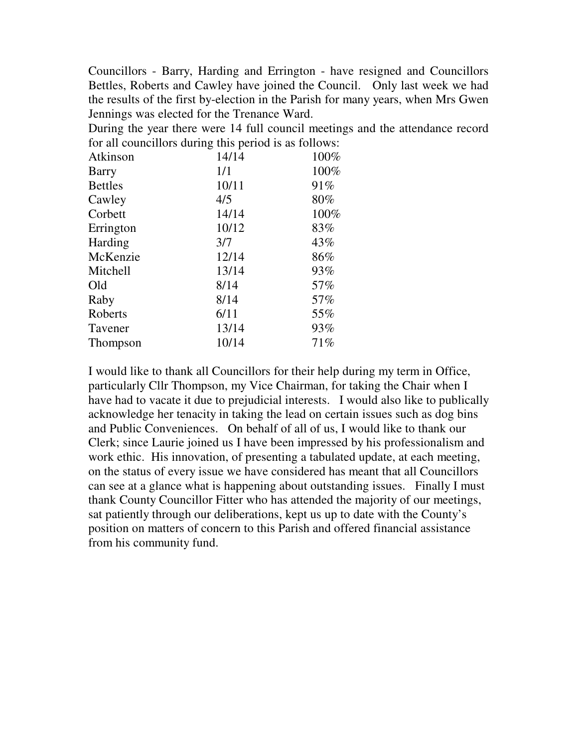Councillors - Barry, Harding and Errington - have resigned and Councillors Bettles, Roberts and Cawley have joined the Council. Only last week we had the results of the first by-election in the Parish for many years, when Mrs Gwen Jennings was elected for the Trenance Ward.

During the year there were 14 full council meetings and the attendance record for all councillors during this period is as follows:

| Atkinson       | 14/14 | 100% |
|----------------|-------|------|
| <b>Barry</b>   | 1/1   | 100% |
| <b>Bettles</b> | 10/11 | 91%  |
| Cawley         | 4/5   | 80%  |
| Corbett        | 14/14 | 100% |
| Errington      | 10/12 | 83%  |
| Harding        | 3/7   | 43%  |
| McKenzie       | 12/14 | 86%  |
| Mitchell       | 13/14 | 93%  |
| Old            | 8/14  | 57%  |
| Raby           | 8/14  | 57%  |
| Roberts        | 6/11  | 55%  |
| Tavener        | 13/14 | 93%  |
| Thompson       | 10/14 | 71%  |
|                |       |      |

I would like to thank all Councillors for their help during my term in Office, particularly Cllr Thompson, my Vice Chairman, for taking the Chair when I have had to vacate it due to prejudicial interests. I would also like to publically acknowledge her tenacity in taking the lead on certain issues such as dog bins and Public Conveniences. On behalf of all of us, I would like to thank our Clerk; since Laurie joined us I have been impressed by his professionalism and work ethic. His innovation, of presenting a tabulated update, at each meeting, on the status of every issue we have considered has meant that all Councillors can see at a glance what is happening about outstanding issues. Finally I must thank County Councillor Fitter who has attended the majority of our meetings, sat patiently through our deliberations, kept us up to date with the County's position on matters of concern to this Parish and offered financial assistance from his community fund.